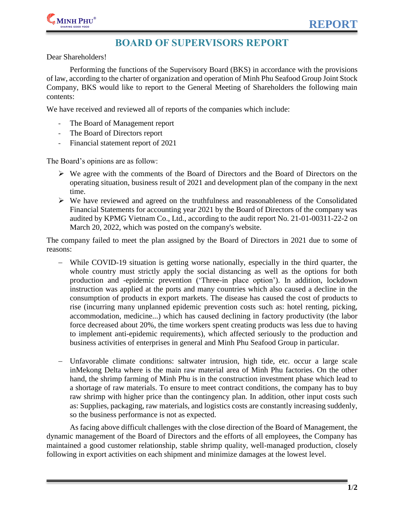

## **BOARD OF SUPERVISORS REPORT**

Dear Shareholders!

Performing the functions of the Supervisory Board (BKS) in accordance with the provisions of law, according to the charter of organization and operation of Minh Phu Seafood Group Joint Stock Company, BKS would like to report to the General Meeting of Shareholders the following main contents:

We have received and reviewed all of reports of the companies which include:

- The Board of Management report
- The Board of Directors report
- Financial statement report of 2021

The Board's opinions are as follow:

- $\triangleright$  We agree with the comments of the Board of Directors and the Board of Directors on the operating situation, business result of 2021 and development plan of the company in the next time.
- $\triangleright$  We have reviewed and agreed on the truthfulness and reasonableness of the Consolidated Financial Statements for accounting year 2021 by the Board of Directors of the company was audited by KPMG Vietnam Co., Ltd., according to the audit report No. 21-01-00311-22-2 on March 20, 2022, which was posted on the company's website.

The company failed to meet the plan assigned by the Board of Directors in 2021 due to some of reasons:

- While COVID-19 situation is getting worse nationally, especially in the third quarter, the whole country must strictly apply the social distancing as well as the options for both production and -epidemic prevention ('Three-in place option'). In addition, lockdown instruction was applied at the ports and many countries which also caused a decline in the consumption of products in export markets. The disease has caused the cost of products to rise (incurring many unplanned epidemic prevention costs such as: hotel renting, picking, accommodation, medicine...) which has caused declining in factory productivity (the labor force decreased about 20%, the time workers spent creating products was less due to having to implement anti-epidemic requirements), which affected seriously to the production and business activities of enterprises in general and Minh Phu Seafood Group in particular.
- Unfavorable climate conditions: saltwater intrusion, high tide, etc. occur a large scale inMekong Delta where is the main raw material area of Minh Phu factories. On the other hand, the shrimp farming of Minh Phu is in the construction investment phase which lead to a shortage of raw materials. To ensure to meet contract conditions, the company has to buy raw shrimp with higher price than the contingency plan. In addition, other input costs such as: Supplies, packaging, raw materials, and logistics costs are constantly increasing suddenly, so the business performance is not as expected.

As facing above difficult challenges with the close direction of the Board of Management, the dynamic management of the Board of Directors and the efforts of all employees, the Company has maintained a good customer relationship, stable shrimp quality, well-managed production, closely following in export activities on each shipment and minimize damages at the lowest level.